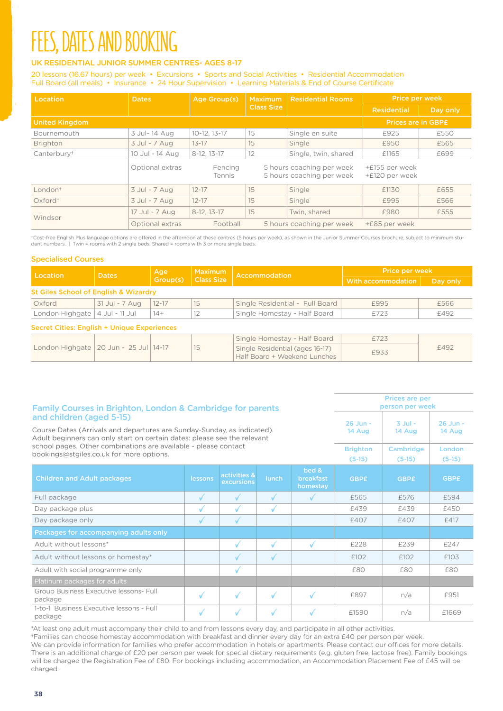# **FEES, DATES AND BOOKING**

### UK RESIDENTIAL JUNIOR SUMMER CENTRES- AGES 8-17

20 lessons (16.67 hours) per week • Excursions • Sports and Social Activities • Residential Accommodation Full Board (all meals) • Insurance • 24 Hour Supervision • Learning Materials & End of Course Certificate

| Location                | <b>Dates</b>    | Age Group(s)      | <b>Maximum</b>    | <b>Residential Rooms</b>                               | Price per week                   |          |
|-------------------------|-----------------|-------------------|-------------------|--------------------------------------------------------|----------------------------------|----------|
|                         |                 |                   | <b>Class Size</b> |                                                        | <b>Residential</b>               | Day only |
| <b>United Kingdom</b>   |                 |                   |                   |                                                        | <b>Prices are in GBPE</b>        |          |
| Bournemouth             | 3 Jul-14 Aug    | $10 - 12.13 - 17$ | 15                | Single en suite                                        | £925                             | £550     |
| <b>Brighton</b>         | 3 Jul - 7 Aug   | $13 - 17$         | 15                | Single                                                 | £950                             | £565     |
| Canterbury <sup>+</sup> | 10 Jul - 14 Aug | 8-12, 13-17       | 12                | Single, twin, shared                                   | £1165                            | £699     |
|                         | Optional extras | Fencing<br>Tennis |                   | 5 hours coaching per week<br>5 hours coaching per week | +£155 per week<br>+£120 per week |          |
| London <sup>+</sup>     | 3 Jul - 7 Aug   | $12 - 17$         | 15                | Single                                                 | £1130                            | £655     |
| Oxford <sup>+</sup>     | 3 Jul - 7 Aug   | $12 - 17$         | 15                | Single                                                 | £995                             | £566     |
| Windsor                 | 17 Jul - 7 Aug  | $8-12.13-17$      | 15                | Twin, shared                                           | £980                             | £555     |
|                         | Optional extras | Football          |                   | 5 hours coaching per week                              | +£85 per week                    |          |

†Cost-free English Plus language options are offered in the afternoon at these centres (5 hours per week), as shown in the Junior Summer Courses brochure, subject to minimum stu-<br>dent numbers. | Twin = rooms with 2 single

#### Specialised Courses

|                                                    |                | Age       | <b>Maximum</b>    | Accommodation                                                   | <b>Price per week</b> |          |  |
|----------------------------------------------------|----------------|-----------|-------------------|-----------------------------------------------------------------|-----------------------|----------|--|
| Location                                           | <b>Dates</b>   | Group(s)  | <b>Class Size</b> |                                                                 | With accommodation    | Day only |  |
| St Giles School of English & Wizardry              |                |           |                   |                                                                 |                       |          |  |
| Oxford                                             | 31 Jul - 7 Aug | $12 - 17$ | 15                | Single Residential - Full Board                                 | £995                  | £566     |  |
| London Highgate                                    | 4 Jul - 11 Jul | $14+$     | 12                | Single Homestay - Half Board                                    | £723                  | £492     |  |
| <b>Secret Cities: English + Unique Experiences</b> |                |           |                   |                                                                 |                       |          |  |
| London Highgate   20 Jun - 25 Jul                  |                | $14-17$   | 15                | Single Homestay - Half Board                                    | £723                  |          |  |
|                                                    |                |           |                   | Single Residential (ages 16-17)<br>Half Board + Weekend Lunches | £933                  | £492     |  |

| Family Courses in Brighton, London & Cambridge for parents                                                                                          | <b>Prices are per</b><br>person per week |                            |              |                                       |             |                       |                    |
|-----------------------------------------------------------------------------------------------------------------------------------------------------|------------------------------------------|----------------------------|--------------|---------------------------------------|-------------|-----------------------|--------------------|
| and children (aged 5-15)                                                                                                                            | 26 Jun -                                 | $3$ Jul -                  | 26 Jun -     |                                       |             |                       |                    |
| Course Dates (Arrivals and departures are Sunday-Sunday, as indicated).<br>Adult beginners can only start on certain dates: please see the relevant | 14 Aug                                   | 14 Aug                     | 14 Aug       |                                       |             |                       |                    |
| school pages. Other combinations are available - please contact<br>bookings@stgiles.co.uk for more options.                                         |                                          |                            |              |                                       |             | Cambridge<br>$(5-15)$ | London<br>$(5-15)$ |
| <b>Children and Adult packages</b>                                                                                                                  | lessons                                  | activities &<br>excursions | <b>lunch</b> | bed &<br><b>breakfast</b><br>homestay | <b>GBPE</b> | <b>GBPE</b>           | <b>GBPE</b>        |
| Full package                                                                                                                                        | ✓                                        | √                          | $\sqrt{ }$   |                                       | £565        | £576                  | £594               |
| Day package plus                                                                                                                                    | √                                        | √                          | $\sqrt{ }$   |                                       | £439        | £439                  | £450               |
| Day package only                                                                                                                                    | J                                        | √                          |              |                                       | f407        | £407                  | f417               |
| Packages for accompanying adults only                                                                                                               |                                          |                            |              |                                       |             |                       |                    |
| Adult without lessons*                                                                                                                              |                                          | √                          | $\checkmark$ | $\checkmark$                          | £228        | £239                  | £247               |
| Adult without lessons or homestay*                                                                                                                  |                                          | √                          | $\checkmark$ |                                       | £102        | £102                  | £103               |
| Adult with social programme only                                                                                                                    |                                          | √                          |              |                                       | £80         | £80                   | £80                |
| Platinum packages for adults                                                                                                                        |                                          |                            |              |                                       |             |                       |                    |
| Group Business Executive lessons- Full<br>package                                                                                                   | ✓                                        | √                          | ✓            | ✓                                     | £897        | n/a                   | £951               |
| 1-to-1 Business Executive lessons - Full<br>package                                                                                                 |                                          | √                          |              |                                       | £1590       | n/a                   | £1669              |

\*At least one adult must accompany their child to and from lessons every day, and participate in all other activities. †Families can choose homestay accommodation with breakfast and dinner every day for an extra £40 per person per week.

We can provide information for families who prefer accommodation in hotels or apartments. Please contact our offices for more details. There is an additional charge of £20 per person per week for special dietary requirements (e.g. gluten free, lactose free). Family bookings will be charged the Registration Fee of £80. For bookings including accommodation, an Accommodation Placement Fee of £45 will be charged.